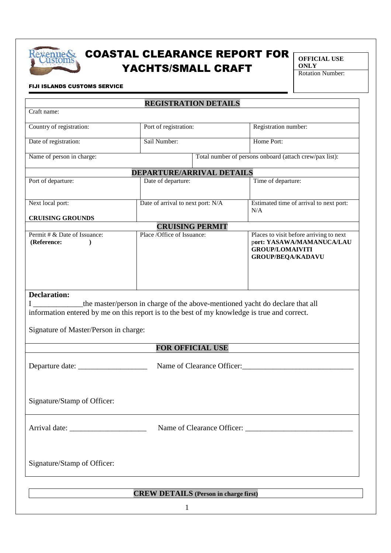

## Rexenue& COASTAL CLEARANCE REPORT FOR YACHTS/SMALL CRAFT

**OFFICIAL USE ONLY** 

Rotation Number:

## FIJI ISLANDS CUSTOMS SERVICE

| <b>REGISTRATION DETAILS</b><br>Craft name:                                                                                                                                                                                                       |                                   |                                                                                                                            |  |
|--------------------------------------------------------------------------------------------------------------------------------------------------------------------------------------------------------------------------------------------------|-----------------------------------|----------------------------------------------------------------------------------------------------------------------------|--|
|                                                                                                                                                                                                                                                  |                                   |                                                                                                                            |  |
| Country of registration:                                                                                                                                                                                                                         | Port of registration:             | Registration number:                                                                                                       |  |
| Date of registration:                                                                                                                                                                                                                            | Sail Number:                      | Home Port:                                                                                                                 |  |
| Total number of persons onboard (attach crew/pax list):<br>Name of person in charge:                                                                                                                                                             |                                   |                                                                                                                            |  |
| <b>DEPARTURE/ARRIVAL DETAILS</b>                                                                                                                                                                                                                 |                                   |                                                                                                                            |  |
| Port of departure:                                                                                                                                                                                                                               | Date of departure:                | Time of departure:                                                                                                         |  |
| Next local port:                                                                                                                                                                                                                                 | Date of arrival to next port: N/A | Estimated time of arrival to next port:<br>N/A                                                                             |  |
| <b>CRUISING GROUNDS</b>                                                                                                                                                                                                                          |                                   |                                                                                                                            |  |
| <b>CRUISING PERMIT</b>                                                                                                                                                                                                                           |                                   |                                                                                                                            |  |
| Permit # & Date of Issuance:<br>(Reference:                                                                                                                                                                                                      | Place /Office of Issuance:        | Places to visit before arriving to next<br>port: YASAWA/MAMANUCA/LAU<br><b>GROUP/LOMAIVITI</b><br><b>GROUP/BEQA/KADAVU</b> |  |
| the master/person in charge of the above-mentioned yacht do declare that all<br>information entered by me on this report is to the best of my knowledge is true and correct.<br>Signature of Master/Person in charge:<br><b>FOR OFFICIAL USE</b> |                                   |                                                                                                                            |  |
|                                                                                                                                                                                                                                                  |                                   |                                                                                                                            |  |
| Name of Clearance Officer:<br>Departure date: ___________                                                                                                                                                                                        |                                   |                                                                                                                            |  |
| Signature/Stamp of Officer:                                                                                                                                                                                                                      |                                   |                                                                                                                            |  |
|                                                                                                                                                                                                                                                  |                                   |                                                                                                                            |  |
| Signature/Stamp of Officer:                                                                                                                                                                                                                      |                                   |                                                                                                                            |  |
| <b>CREW DETAILS</b> (Person in charge first)                                                                                                                                                                                                     |                                   |                                                                                                                            |  |